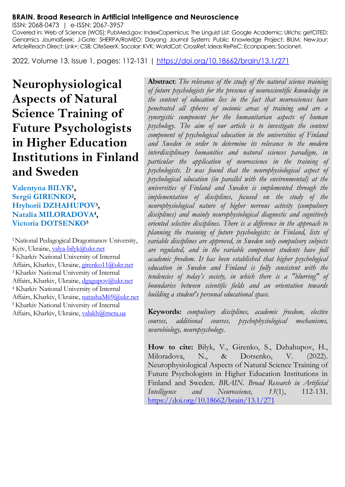#### **BRAIN. Broad Research in Artificial Intelligence and Neuroscience**

ISSN: 2068-0473 | e-ISSN: 2067-3957

Covered in: Web of Science (WOS); PubMed.gov; IndexCopernicus; The Linguist List; Google Academic; Ulrichs; getCITED; Genamics JournalSeek; J-Gate; SHERPA/RoMEO; Dayang Journal System; Public Knowledge Project; BIUM; NewJour; ArticleReach Direct; Link+; CSB; CiteSeerX; Socolar; KVK; WorldCat; CrossRef; Ideas RePeC; Econpapers; Socionet.

2022, Volume 13, Issue 1, pages: 112-131 |<https://doi.org/10.18662/brain/13.1/271>

**Neurophysiological Aspects of Natural Science Training of Future Psychologists in Higher Education Institutions in Finland and Sweden**

Valentyna BILYK<sup>1</sup>, **Sergii GIRENKO<sup>2</sup> , Hryhorii DZHAHUPOV<sup>3</sup> , Natalia MILORADOVA<sup>4</sup> , Victoria DOTSENKO<sup>5</sup>**

**<sup>1</sup>**National Pedagogical Dragomanov University, Kyiv, Ukraine[, valya-bilyk@ukr.net](mailto:valya-bilyk@ukr.net) **<sup>2</sup>** Kharkiv National University of Internal Affairs, Kharkiv, Ukraine[, girenko11@ukr.net](mailto:girenko11@ukr.net) **<sup>3</sup>**Kharkiv National University of Internal Affairs, Kharkiv, Ukraine[, dgagupov@ukr.net](mailto:dgagupov@ukr.net) **<sup>4</sup>** Kharkiv National University of Internal Affairs, Kharkiv, Ukraine[, natashaM69@ukr.net](mailto:natashaM69@ukr.net) **<sup>5</sup>**Kharkiv National University of Internal Affairs, Kharkiv, Ukraine[, valakh@meta.ua](mailto:valakh@meta.ua)

**Abstract**: *The relevance of the study of the natural science training of future psychologists for the presence of neuroscientific knowledge in the content of education lies in the fact that neurosciences have penetrated all spheres of socionic areas of training and are a synergistic component for the humanitarian aspects of human psychology. The aim of our article is to investigate the content component of psychological education in the universities of Finland and Sweden in order to determine its relevance to the modern interdisciplinary humanities and natural sciences paradigm, in particular the application of neuroscience in the training of psychologists. It was found that the neurophysiological aspect of psychological education (in parallel with the environmental) at the universities of Finland and Sweden is implemented through the implementation of disciplines, focused on the study of the neurophysiological nature of higher nervous activity (compulsory disciplines) and mainly neurophysiological diagnostic and cognitively oriented selective disciplines. There is a difference in the approach to planning the training of future psychologists: in Finland, lists of variable disciplines are approved, in Sweden only compulsory subjects are regulated, and in the variable component students have full academic freedom. It has been established that higher psychological education in Sweden and Finland is fully consistent with the tendencies of today's society, in which there is a "blurring" of boundaries between scientific fields and an orientation towards building a student's personal educational space.*

**Keywords:** *compulsory disciplines, academic freedom, elective courses, additional courses, psychophysiological mechanisms, neurobiology, neuropsychology.*

**How to cite:** Bilyk, V., Girenko, S., Dzhahupov, H., Miloradova, N., & Dotsenko, V. (2022). Neurophysiological Aspects of Natural Science Training of Future Psychologists in Higher Education Institutions in Finland and Sweden. *BRAIN. Broad Research in Artificial Intelligence and Neuroscience, 13*(1), 112-131. <https://doi.org/10.18662/brain/13.1/271>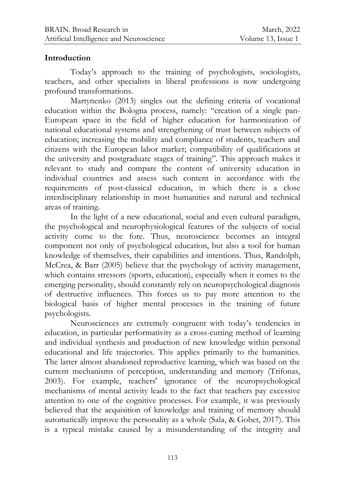### **Introduction**

Today's approach to the training of psychologists, sociologists, teachers, and other specialists in liberal professions is now undergoing profound transformations.

Martynenko (2013) singles out the defining criteria of vocational education within the Bologna process, namely: "creation of a single pan-European space in the field of higher education for harmonization of national educational systems and strengthening of trust between subjects of education; increasing the mobility and compliance of students, teachers and citizens with the European labor market; compatibility of qualifications at the university and postgraduate stages of training". This approach makes it relevant to study and compare the content of university education in individual countries and assess such content in accordance with the requirements of post-classical education, in which there is a close interdisciplinary relationship in most humanities and natural and technical areas of training.

In the light of a new educational, social and even cultural paradigm, the psychological and neurophysiological features of the subjects of social activity come to the fore. Thus, neuroscience becomes an integral component not only of psychological education, but also a tool for human knowledge of themselves, their capabilities and intentions. Thus, Randolph, McCrea, & Barr (2005) believe that the psychology of activity management, which contains stressors (sports, education), especially when it comes to the emerging personality, should constantly rely on neuropsychological diagnosis of destructive influences. This forces us to pay more attention to the biological basis of higher mental processes in the training of future psychologists.

Neurosciences are extremely congruent with today's tendencies in education, in particular performativity as a cross-cutting method of learning and individual synthesis and production of new knowledge within personal educational and life trajectories. This applies primarily to the humanities. The latter almost abandoned reproductive learning, which was based on the current mechanisms of perception, understanding and memory (Trifonas, 2003). For example, teachers' ignorance of the neuropsychological mechanisms of mental activity leads to the fact that teachers pay excessive attention to one of the cognitive processes. For example, it was previously believed that the acquisition of knowledge and training of memory should automatically improve the personality as a whole (Sala, & Gobet, 2017). This is a typical mistake caused by a misunderstanding of the integrity and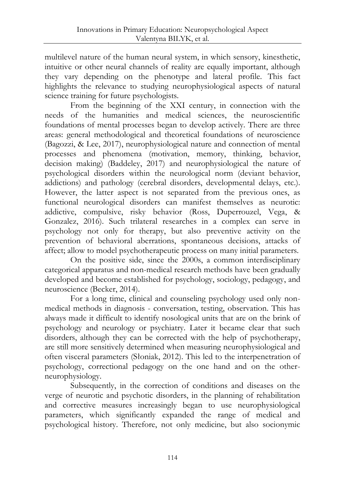multilevel nature of the human neural system, in which sensory, kinesthetic, intuitive or other neural channels of reality are equally important, although they vary depending on the phenotype and lateral profile. This fact highlights the relevance to studying neurophysiological aspects of natural science training for future psychologists.

From the beginning of the XXI century, in connection with the needs of the humanities and medical sciences, the neuroscientific foundations of mental processes began to develop actively. There are three areas: general methodological and theoretical foundations of neuroscience (Bagozzi, & Lee, 2017), neurophysiological nature and connection of mental processes and phenomena (motivation, memory, thinking, behavior, decision making) (Baddeley, 2017) and neurophysiological the nature of psychological disorders within the neurological norm (deviant behavior, addictions) and pathology (cerebral disorders, developmental delays, etc.). However, the latter aspect is not separated from the previous ones, as functional neurological disorders can manifest themselves as neurotic: addictive, compulsive, risky behavior (Ross, Duperrouzel, Vega, & Gonzalez, 2016). Such trilateral researches in a complex can serve in psychology not only for therapy, but also preventive activity on the prevention of behavioral aberrations, spontaneous decisions, attacks of affect; allow to model psychotherapeutic process on many initial parameters.

On the positive side, since the 2000s, a common interdisciplinary categorical apparatus and non-medical research methods have been gradually developed and become established for psychology, sociology, pedagogy, and neuroscience (Becker, 2014).

For a long time, clinical and counseling psychology used only nonmedical methods in diagnosis - conversation, testing, observation. This has always made it difficult to identify nosological units that are on the brink of psychology and neurology or psychiatry. Later it became clear that such disorders, although they can be corrected with the help of psychotherapy, are still more sensitively determined when measuring neurophysiological and often visceral parameters (Słoniak, 2012). This led to the interpenetration of psychology, correctional pedagogy on the one hand and on the otherneurophysiology.

Subsequently, in the correction of conditions and diseases on the verge of neurotic and psychotic disorders, in the planning of rehabilitation and corrective measures increasingly began to use neurophysiological parameters, which significantly expanded the range of medical and psychological history. Therefore, not only medicine, but also socionymic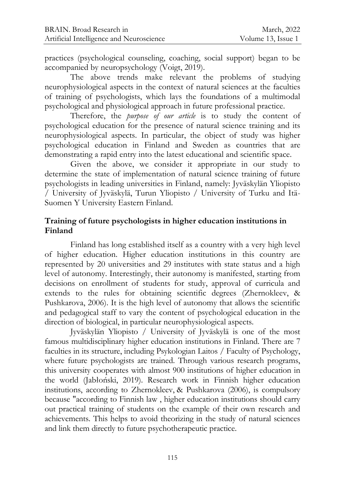practices (psychological counseling, coaching, social support) began to be accompanied by neuropsychology (Voigt, 2019).

The above trends make relevant the problems of studying neurophysiological aspects in the context of natural sciences at the faculties of training of psychologists, which lays the foundations of a multimodal psychological and physiological approach in future professional practice.

Therefore, the *purpose of our article* is to study the content of psychological education for the presence of natural science training and its neurophysiological aspects. In particular, the object of study was higher psychological education in Finland and Sweden as countries that are demonstrating a rapid entry into the latest educational and scientific space.

Given the above, we consider it appropriate in our study to determine the state of implementation of natural science training of future psychologists in leading universities in Finland, namely: Jyväskylän Yliopisto / University of Jyväskylä, Turun Yliopisto / University of Turku and Itä-Suomen Y University Eastern Finland.

### **Training of future psychologists in higher education institutions in Finland**

Finland has long established itself as a country with a very high level of higher education. Higher education institutions in this country are represented by 20 universities and 29 institutes with state status and a high level of autonomy. Interestingly, their autonomy is manifested, starting from decisions on enrollment of students for study, approval of curricula and extends to the rules for obtaining scientific degrees (Zhernokleev, & Pushkarova, 2006). It is the high level of autonomy that allows the scientific and pedagogical staff to vary the content of psychological education in the direction of biological, in particular neurophysiological aspects.

Jyväskylän Yliopisto / University of Jyväskylä is one of the most famous multidisciplinary higher education institutions in Finland. There are 7 faculties in its structure, including Psykologian Laitos / Faculty of Psychology, where future psychologists are trained. Through various research programs, this university cooperates with almost 900 institutions of higher education in the world (Jabłoński, 2019). Research work in Finnish higher education institutions, according to Zhernokleev, & Pushkarova (2006), is compulsory because "according to Finnish law , higher education institutions should carry out practical training of students on the example of their own research and achievements. This helps to avoid theorizing in the study of natural sciences and link them directly to future psychotherapeutic practice.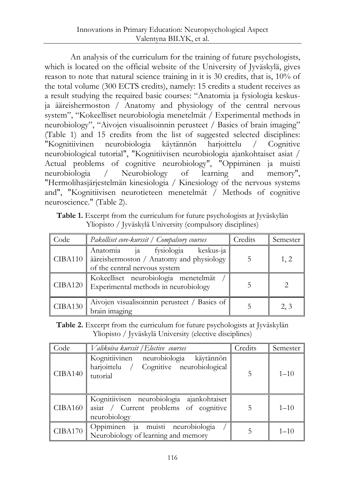An analysis of the curriculum for the training of future psychologists, which is located on the official website of the University of Jyväskylä, gives reason to note that natural science training in it is 30 credits, that is, 10% of the total volume (300 ECTS credits), namely: 15 credits a student receives as a result studying the required basic courses: "Anatomia ja fysiologia keskusja ääreishermoston / Anatomy and physiology of the central nervous system", "Kokeelliset neurobiologia menetelmät / Experimental methods in neurobiology", "Aivojen visualisoinnin perusteet / Basics of brain imaging" (Table 1) and 15 credits from the list of suggested selected disciplines: "Kognitiivinen neurobiologia käytännön harjoittelu / Cognitive neurobiological tutorial", "Kognitiivisen neurobiologia ajankohtaiset asiat / Actual problems of cognitive neurobiology", "Oppiminen ja muisti neurobiologia / Neurobiology of learning and memory", "Hermolihasjärjestelmän kinesiologia / Kinesiology of the nervous systems and", "Kognitiivisen neurotieteen menetelmät / Methods of cognitive neuroscience." (Table 2).

**Table 1.** Excerpt from the curriculum for future psychologists at Jyväskylän Yliopisto / Jyväskylä University (compulsory disciplines)

| Code    | Pakolliset core-kurssit / Compalsory courses                                                                  | Credits | Semester |
|---------|---------------------------------------------------------------------------------------------------------------|---------|----------|
| CIBA110 | Anatomia ja fysiologia keskus-ja<br>ääreishermoston / Anatomy and physiology<br>of the central nervous system |         | 1, 2     |
|         | Kokeelliset neurobiologia menetelmät<br>CIBA120   Experimental methods in neurobiology                        |         |          |
| CIBA130 | Aivojen visualisoinnin perusteet / Basics of<br>brain imaging                                                 |         | 2, 3     |

**Table 2.** Excerpt from the curriculum for future psychologists at Jyväskylän Yliopisto / Jyväskylä University (elective disciplines)

| Code    | Valikoiva kurssit / Elective courses                                                               | Credits | Semester |
|---------|----------------------------------------------------------------------------------------------------|---------|----------|
| CIBA140 | Kognitiivinen neurobiologia käytännön<br>harjoittelu / Cognitive neurobiological<br>tutorial       | 5       | $1 - 10$ |
| CIBA160 | Kognitiivisen neurobiologia ajankohtaiset<br>asiat / Current problems of cognitive<br>neurobiology | 5       | $1 - 10$ |
| CIBA170 | Oppiminen ja muisti neurobiologia<br>Neurobiology of learning and memory                           |         | $1 - 10$ |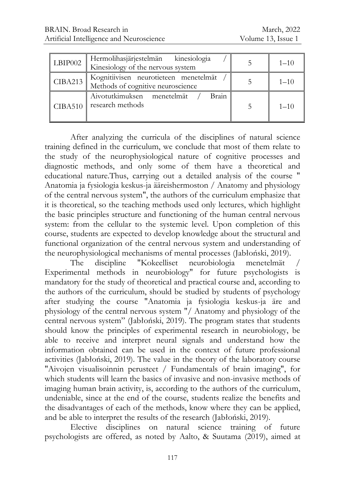| LBIP002        | Hermolihasjärjestelmän kinesiologia<br>Kinesiology of the nervous system   | $1 - 10$ |
|----------------|----------------------------------------------------------------------------|----------|
| <b>CIBA213</b> | Kognitiivisen neurotieteen menetelmät<br>Methods of cognitive neuroscience | $1 - 10$ |
| CIBA510        | Brain<br>Aivotutkimuksen menetelmät<br>research methods                    | $1 - 10$ |

After analyzing the curricula of the disciplines of natural science training defined in the curriculum, we conclude that most of them relate to the study of the neurophysiological nature of cognitive processes and diagnostic methods, and only some of them have a theoretical and educational nature.Thus, carrying out a detailed analysis of the course " Anatomia ja fysiologia keskus-ja ääreishermoston / Anatomy and physiology of the central nervous system", the authors of the curriculum emphasize that it is theoretical, so the teaching methods used only lectures, which highlight the basic principles structure and functioning of the human central nervous system: from the cellular to the systemic level. Upon completion of this course, students are expected to develop knowledge about the structural and functional organization of the central nervous system and understanding of the neurophysiological mechanisms of mental processes (Jabłoński, 2019).

The discipline "Kokeelliset neurobiologia menetelmät Experimental methods in neurobiology" for future psychologists is mandatory for the study of theoretical and practical course and, according to the authors of the curriculum, should be studied by students of psychology after studying the course "Anatomia ja fysiologia keskus-ja äre and physiology of the central nervous system "/ Anatomy and physiology of the central nervous system" (Jabłoński, 2019). The program states that students should know the principles of experimental research in neurobiology, be able to receive and interpret neural signals and understand how the information obtained can be used in the context of future professional activities (Jabłoński, 2019). The value in the theory of the laboratory course "Aivojen visualisoinnin perusteet / Fundamentals of brain imaging", for which students will learn the basics of invasive and non-invasive methods of imaging human brain activity, is, according to the authors of the curriculum, undeniable, since at the end of the course, students realize the benefits and the disadvantages of each of the methods, know where they can be applied, and be able to interpret the results of the research (Jabłoński, 2019).

Elective disciplines on natural science training of future psychologists are offered, as noted by Aalto, & Suutama (2019), aimed at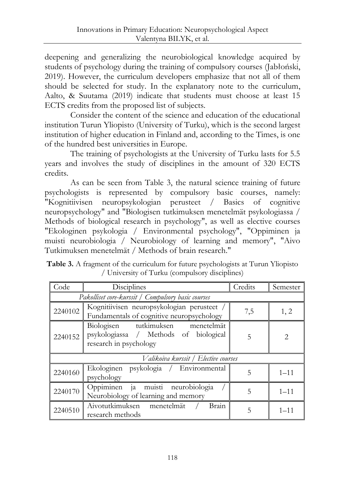deepening and generalizing the neurobiological knowledge acquired by students of psychology during the training of compulsory courses (Jabłoński, 2019). However, the curriculum developers emphasize that not all of them should be selected for study. In the explanatory note to the curriculum, Aalto, & Suutama (2019) indicate that students must choose at least 15 ECTS credits from the proposed list of subjects.

Consider the content of the science and education of the educational institution Turun Yliopisto (University of Turku), which is the second largest institution of higher education in Finland and, according to the Times, is one of the hundred best universities in Europe.

The training of psychologists at the University of Turku lasts for 5.5 years and involves the study of disciplines in the amount of 320 ECTS credits.

As can be seen from Table 3, the natural science training of future psychologists is represented by compulsory basic courses, namely: "Kognitiivisen neuropsykologian perusteet / Basics of cognitive neuropsychology" and "Biologisen tutkimuksen menetelmät psykologiassa / Methods of biological research in psychology", as well as elective courses "Ekologinen psykologia / Environmental psychology", "Oppiminen ja muisti neurobiologia / Neurobiology of learning and memory", "Aivo Tutkimuksen menetelmät / Methods of brain research."

| Table 3. A fragment of the curriculum for future psychologists at Turun Yliopisto |
|-----------------------------------------------------------------------------------|
| / University of Turku (compulsory disciplines)                                    |

| Code                                 | Disciplines                                                                                          | Credits | Semester                    |  |
|--------------------------------------|------------------------------------------------------------------------------------------------------|---------|-----------------------------|--|
|                                      | Pakolliset core-kurssit / Compulsory basic courses                                                   |         |                             |  |
| 2240102                              | Kognitiivisen neuropsykologian perusteet /<br>Fundamentals of cognitive neuropsychology              | 7,5     | 1, 2                        |  |
| 2240152                              | Biologisen tutkimuksen menetelmät<br>psykologiassa / Methods of biological<br>research in psychology | 5       | $\mathcal{D}_{\mathcal{L}}$ |  |
| Valikoiva kurssit / Elective courses |                                                                                                      |         |                             |  |
| 2240160                              | Ekologinen psykologia / Environmental<br>psychology                                                  | 5       | $1 - 11$                    |  |
| 2240170                              | Oppiminen ja muisti neurobiologia<br>Neurobiology of learning and memory                             | 5       | $1 - 11$                    |  |
| 2240510                              | Aivotutkimuksen menetelmät<br>Brain<br>research methods                                              | 5       | $1 - 11$                    |  |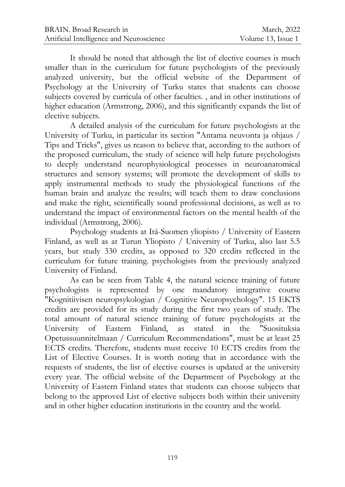It should be noted that although the list of elective courses is much smaller than in the curriculum for future psychologists of the previously analyzed university, but the official website of the Department of Psychology at the University of Turku states that students can choose subjects covered by curricula of other faculties. , and in other institutions of higher education (Armstrong, 2006), and this significantly expands the list of elective subjects.

A detailed analysis of the curriculum for future psychologists at the University of Turku, in particular its section "Antama neuvonta ja ohjaus / Tips and Tricks", gives us reason to believe that, according to the authors of the proposed curriculum, the study of science will help future psychologists to deeply understand neurophysiological processes in neuroanatomical structures and sensory systems; will promote the development of skills to apply instrumental methods to study the physiological functions of the human brain and analyze the results; will teach them to draw conclusions and make the right, scientifically sound professional decisions, as well as to understand the impact of environmental factors on the mental health of the individual (Armstrong, 2006).

Psychology students at Itä-Suomen yliopisto / University of Eastern Finland, as well as at Turun Yliopisto / University of Turku, also last 5.5 years, but study 330 credits, as opposed to 320 credits reflected in the curriculum for future training. psychologists from the previously analyzed University of Finland.

As can be seen from Table 4, the natural science training of future psychologists is represented by one mandatory integrative course "Kognitiivisen neuropsykologian / Cognitive Neuropsychology". 15 EKTS credits are provided for its study during the first two years of study. The total amount of natural science training of future psychologists at the University of Eastern Finland, as stated in the "Suosituksia Opetussuunnitelmaan / Curriculum Recommendations", must be at least 25 ECTS credits. Therefore, students must receive 10 ECTS credits from the List of Elective Courses. It is worth noting that in accordance with the requests of students, the list of elective courses is updated at the university every year. The official website of the Department of Psychology at the University of Eastern Finland states that students can choose subjects that belong to the approved List of elective subjects both within their university and in other higher education institutions in the country and the world.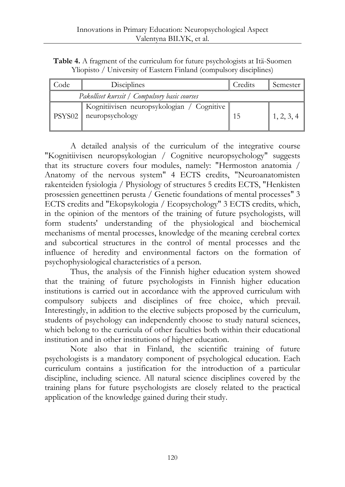**Table 4.** A fragment of the curriculum for future psychologists at Itä-Suomen Yliopisto / University of Eastern Finland (compulsory disciplines)

| Code                                          | Disciplines                                                   | Credits | Semester   |
|-----------------------------------------------|---------------------------------------------------------------|---------|------------|
| Pakolliset kurssit / Compulsory basic courses |                                                               |         |            |
| PSYS02                                        | Kognitiivisen neuropsykologian / Cognitive<br>neuropsychology |         | 1, 2, 3, 4 |

A detailed analysis of the curriculum of the integrative course "Kognitiivisen neuropsykologian / Cognitive neuropsychology" suggests that its structure covers four modules, namely: "Hermoston anatomia / Anatomy of the nervous system" 4 ECTS credits, "Neuroanatomisten rakenteiden fysiologia / Physiology of structures 5 credits ECTS, "Henkisten prosessien geneettinen perusta / Genetic foundations of mental processes" 3 ECTS credits and "Ekopsykologia / Ecopsychology" 3 ECTS credits, which, in the opinion of the mentors of the training of future psychologists, will form students' understanding of the physiological and biochemical mechanisms of mental processes, knowledge of the meaning cerebral cortex and subcortical structures in the control of mental processes and the influence of heredity and environmental factors on the formation of psychophysiological characteristics of a person.

Thus, the analysis of the Finnish higher education system showed that the training of future psychologists in Finnish higher education institutions is carried out in accordance with the approved curriculum with compulsory subjects and disciplines of free choice, which prevail. Interestingly, in addition to the elective subjects proposed by the curriculum, students of psychology can independently choose to study natural sciences, which belong to the curricula of other faculties both within their educational institution and in other institutions of higher education.

Note also that in Finland, the scientific training of future psychologists is a mandatory component of psychological education. Each curriculum contains a justification for the introduction of a particular discipline, including science. All natural science disciplines covered by the training plans for future psychologists are closely related to the practical application of the knowledge gained during their study.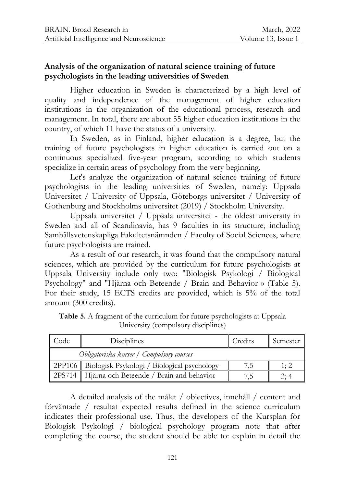## **Analysis of the organization of natural science training of future psychologists in the leading universities of Sweden**

Higher education in Sweden is characterized by a high level of quality and independence of the management of higher education institutions in the organization of the educational process, research and management. In total, there are about 55 higher education institutions in the country, of which 11 have the status of a university.

In Sweden, as in Finland, higher education is a degree, but the training of future psychologists in higher education is carried out on a continuous specialized five-year program, according to which students specialize in certain areas of psychology from the very beginning.

Let's analyze the organization of natural science training of future psychologists in the leading universities of Sweden, namely: Uppsala Universitet / University of Uppsala, Göteborgs universitet / University of Gothenburg and Stockholms universitet (2019) / Stockholm University.

Uppsala universitet / Uppsala universitet - the oldest university in Sweden and all of Scandinavia, has 9 faculties in its structure, including Samhällsvetenskapliga Fakultetsnämnden / Faculty of Social Sciences, where future psychologists are trained.

As a result of our research, it was found that the compulsory natural sciences, which are provided by the curriculum for future psychologists at Uppsala University include only two: "Biologisk Psykologi / Biological Psychology" and "Hjärna och Beteende / Brain and Behavior » (Table 5). For their study, 15 ECTS credits are provided, which is 5% of the total amount (300 credits).

| Code                                      | Disciplines                                          | Credits | Semester |
|-------------------------------------------|------------------------------------------------------|---------|----------|
| Obligatoriska kurser / Compulsory courses |                                                      |         |          |
|                                           | 2PP106   Biologisk Psykologi / Biological psychology |         | 1:2      |
|                                           | 2PS714 Hjärna och Beteende / Brain and behavior      |         | 3:4      |

**Table 5.** A fragment of the curriculum for future psychologists at Uppsala University (compulsory disciplines)

A detailed analysis of the målet / objectives, innehåll / content and förväntade / resultat expected results defined in the science curriculum indicates their professional use. Thus, the developers of the Kursplan för Biologisk Psykologi / biological psychology program note that after completing the course, the student should be able to: explain in detail the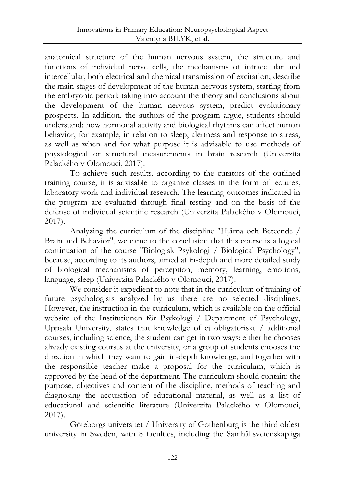anatomical structure of the human nervous system, the structure and functions of individual nerve cells, the mechanisms of intracellular and intercellular, both electrical and chemical transmission of excitation; describe the main stages of development of the human nervous system, starting from the embryonic period; taking into account the theory and conclusions about the development of the human nervous system, predict evolutionary prospects. In addition, the authors of the program argue, students should understand: how hormonal activity and biological rhythms can affect human behavior, for example, in relation to sleep, alertness and response to stress, as well as when and for what purpose it is advisable to use methods of physiological or structural measurements in brain research (Univerzita Palackého v Olomouci, 2017).

To achieve such results, according to the curators of the outlined training course, it is advisable to organize classes in the form of lectures, laboratory work and individual research. The learning outcomes indicated in the program are evaluated through final testing and on the basis of the defense of individual scientific research (Univerzita Palackého v Olomouci, 2017).

Analyzing the curriculum of the discipline "Hjärna och Beteende / Brain and Behavior", we came to the conclusion that this course is a logical continuation of the course "Biologisk Psykologi / Biological Psychology", because, according to its authors, aimed at in-depth and more detailed study of biological mechanisms of perception, memory, learning, emotions, language, sleep (Univerzita Palackého v Olomouci, 2017).

We consider it expedient to note that in the curriculum of training of future psychologists analyzed by us there are no selected disciplines. However, the instruction in the curriculum, which is available on the official website of the Institutionen för Psykologi / Department of Psychology, Uppsala University, states that knowledge of ej obligatoriskt / additional courses, including science, the student can get in two ways: either he chooses already existing courses at the university, or a group of students chooses the direction in which they want to gain in-depth knowledge, and together with the responsible teacher make a proposal for the curriculum, which is approved by the head of the department. The curriculum should contain: the purpose, objectives and content of the discipline, methods of teaching and diagnosing the acquisition of educational material, as well as a list of educational and scientific literature (Univerzita Palackého v Olomouci, 2017).

Göteborgs universitet / University of Gothenburg is the third oldest university in Sweden, with 8 faculties, including the Samhällsvetenskapliga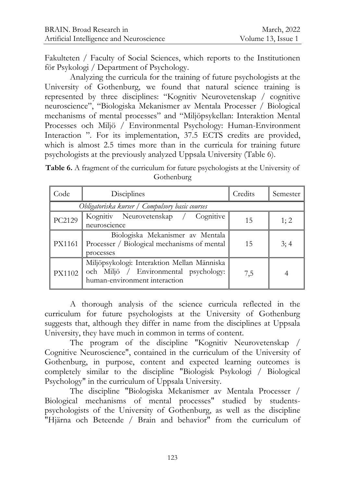Fakulteten / Faculty of Social Sciences, which reports to the Institutionen för Psykologi / Department of Psychology.

Analyzing the curricula for the training of future psychologists at the University of Gothenburg, we found that natural science training is represented by three disciplines: "Kognitiv Neurovetenskap / cognitive neuroscience", "Biologiska Mekanismer av Mentala Processer / Biological mechanisms of mental processes" and "Miljöpsykellan: Interaktion Mental Processes och Miljö / Environmental Psychology: Human-Environment Interaction ". For its implementation, 37.5 ECTS credits are provided, which is almost 2.5 times more than in the curricula for training future psychologists at the previously analyzed Uppsala University (Table 6).

**Table 6.** A fragment of the curriculum for future psychologists at the University of Gothenburg

| Code   | Disciplines                                                                                                           | Credits | Semester |  |  |
|--------|-----------------------------------------------------------------------------------------------------------------------|---------|----------|--|--|
|        | Obligatoriska kurser / Compulsory basic courses                                                                       |         |          |  |  |
| PC2129 | Kognitiv Neurovetenskap / Cognitive<br>neuroscience                                                                   | 15      | 1; 2     |  |  |
| PX1161 | Biologiska Mekanismer av Mentala<br>Processer / Biological mechanisms of mental<br>processes                          | 15      | 3;4      |  |  |
| PX1102 | Miljöpsykologi: Interaktion Mellan Människa<br>och Miljö / Environmental psychology:<br>human-environment interaction | 7.5     |          |  |  |

A thorough analysis of the science curricula reflected in the curriculum for future psychologists at the University of Gothenburg suggests that, although they differ in name from the disciplines at Uppsala University, they have much in common in terms of content.

The program of the discipline "Kognitiv Neurovetenskap / Cognitive Neuroscience", contained in the curriculum of the University of Gothenburg, in purpose, content and expected learning outcomes is completely similar to the discipline "Biologisk Psykologi / Biological Psychology" in the curriculum of Uppsala University.

The discipline "Biologiska Mekanismer av Mentala Processer / Biological mechanisms of mental processes" studied by studentspsychologists of the University of Gothenburg, as well as the discipline "Hjärna och Beteende / Brain and behavior" from the curriculum of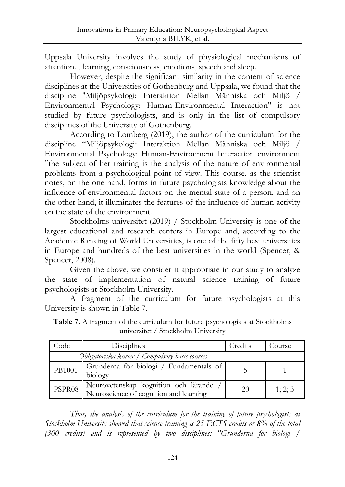Uppsala University involves the study of physiological mechanisms of attention. , learning, consciousness, emotions, speech and sleep.

However, despite the significant similarity in the content of science disciplines at the Universities of Gothenburg and Uppsala, we found that the discipline "Miljöpsykologi: Interaktion Mellan Människa och Miljö / Environmental Psychology: Human-Environmental Interaction" is not studied by future psychologists, and is only in the list of compulsory disciplines of the University of Gothenburg.

According to Lomberg (2019), the author of the curriculum for the discipline "Miljöpsykologi: Interaktion Mellan Människa och Miljö / Environmental Psychology: Human-Environment Interaction environment "the subject of her training is the analysis of the nature of environmental problems from a psychological point of view. This course, as the scientist notes, on the one hand, forms in future psychologists knowledge about the influence of environmental factors on the mental state of a person, and on the other hand, it illuminates the features of the influence of human activity on the state of the environment.

Stockholms universitet (2019) / Stockholm University is one of the largest educational and research centers in Europe and, according to the Academic Ranking of World Universities, is one of the fifty best universities in Europe and hundreds of the best universities in the world (Spencer, & Spencer, 2008).

Given the above, we consider it appropriate in our study to analyze the state of implementation of natural science training of future psychologists at Stockholm University.

A fragment of the curriculum for future psychologists at this University is shown in Table 7.

| Code                                            | Disciplines                                                                    | Credits | Course  |
|-------------------------------------------------|--------------------------------------------------------------------------------|---------|---------|
| Obligatoriska kurser / Compulsory basic courses |                                                                                |         |         |
| PB1001                                          | Grunderna för biologi / Fundamentals of<br>biology                             |         |         |
| PSPR08                                          | Neurovetenskap kognition och lärande<br>Neuroscience of cognition and learning | 20      | 1; 2; 3 |

**Table 7.** A fragment of the curriculum for future psychologists at Stockholms universitet / Stockholm University

*Thus, the analysis of the curriculum for the training of future psychologists at Stockholm University showed that science training is 25 ECTS credits or 8% of the total (300 credits) and is represented by two disciplines: "Grunderna för biologi /*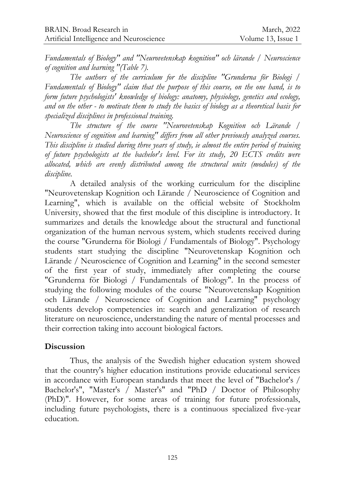*Fundamentals of Biology" and "Neurovetenskap kognition" och lärande / Neuroscience of cognition and learning "(Table 7).*

*The authors of the curriculum for the discipline "Grunderna för Biologi / Fundamentals of Biology" claim that the purpose of this course, on the one hand, is to form future psychologists' knowledge of biology: anatomy, physiology, genetics and ecology, and on the other - to motivate them to study the basics of biology as a theoretical basis for specialized disciplines in professional training.*

*The structure of the course "Neurovetenskap Kognition och Lärande / Neuroscience of cognition and learning" differs from all other previously analyzed courses. This discipline is studied during three years of study, ie almost the entire period of training of future psychologists at the bachelor's level. For its study, 20 ECTS credits were allocated, which are evenly distributed among the structural units (modules) of the discipline.*

A detailed analysis of the working curriculum for the discipline "Neurovetenskap Kognition och Lärande / Neuroscience of Cognition and Learning", which is available on the official website of Stockholm University, showed that the first module of this discipline is introductory. It summarizes and details the knowledge about the structural and functional organization of the human nervous system, which students received during the course "Grunderna för Biologi / Fundamentals of Biology". Psychology students start studying the discipline "Neurovetenskap Kognition och Lärande / Neuroscience of Cognition and Learning" in the second semester of the first year of study, immediately after completing the course "Grunderna för Biologi / Fundamentals of Biology". In the process of studying the following modules of the course "Neurovetenskap Kognition och Lärande / Neuroscience of Cognition and Learning" psychology students develop competencies in: search and generalization of research literature on neuroscience, understanding the nature of mental processes and their correction taking into account biological factors.

#### **Discussion**

Thus, the analysis of the Swedish higher education system showed that the country's higher education institutions provide educational services in accordance with European standards that meet the level of "Bachelor's / Bachelor's", "Master's / Master's" and "PhD / Doctor of Philosophy (PhD)". However, for some areas of training for future professionals, including future psychologists, there is a continuous specialized five-year education.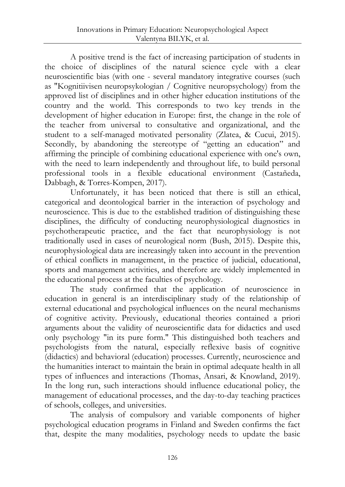A positive trend is the fact of increasing participation of students in the choice of disciplines of the natural science cycle with a clear neuroscientific bias (with one - several mandatory integrative courses (such as "Kognitiivisen neuropsykologian / Cognitive neuropsychology) from the approved list of disciplines and in other higher education institutions of the country and the world. This corresponds to two key trends in the development of higher education in Europe: first, the change in the role of the teacher from universal to consultative and organizational, and the student to a self-managed motivated personality (Zlatea, & Cucui, 2015). Secondly, by abandoning the stereotype of "getting an education" and affirming the principle of combining educational experience with one's own, with the need to learn independently and throughout life, to build personal professional tools in a flexible educational environment (Castañeda, Dabbagh, & Torres-Kompen, 2017).

Unfortunately, it has been noticed that there is still an ethical, categorical and deontological barrier in the interaction of psychology and neuroscience. This is due to the established tradition of distinguishing these disciplines, the difficulty of conducting neurophysiological diagnostics in psychotherapeutic practice, and the fact that neurophysiology is not traditionally used in cases of neurological norm (Bush, 2015). Despite this, neurophysiological data are increasingly taken into account in the prevention of ethical conflicts in management, in the practice of judicial, educational, sports and management activities, and therefore are widely implemented in the educational process at the faculties of psychology.

The study confirmed that the application of neuroscience in education in general is an interdisciplinary study of the relationship of external educational and psychological influences on the neural mechanisms of cognitive activity. Previously, educational theories contained a priori arguments about the validity of neuroscientific data for didactics and used only psychology "in its pure form." This distinguished both teachers and psychologists from the natural, especially reflexive basis of cognitive (didactics) and behavioral (education) processes. Currently, neuroscience and the humanities interact to maintain the brain in optimal adequate health in all types of influences and interactions (Thomas, Ansari, & Knowland, 2019). In the long run, such interactions should influence educational policy, the management of educational processes, and the day-to-day teaching practices of schools, colleges, and universities.

The analysis of compulsory and variable components of higher psychological education programs in Finland and Sweden confirms the fact that, despite the many modalities, psychology needs to update the basic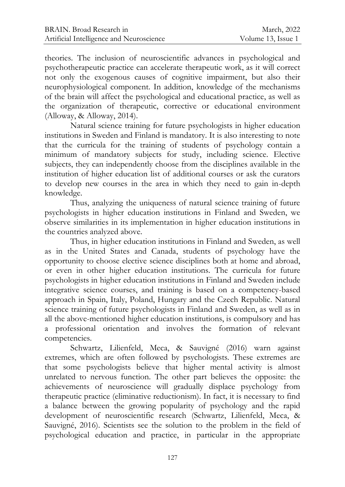theories. The inclusion of neuroscientific advances in psychological and psychotherapeutic practice can accelerate therapeutic work, as it will correct not only the exogenous causes of cognitive impairment, but also their neurophysiological component. In addition, knowledge of the mechanisms of the brain will affect the psychological and educational practice, as well as the organization of therapeutic, corrective or educational environment (Alloway, & Alloway, 2014).

Natural science training for future psychologists in higher education institutions in Sweden and Finland is mandatory. It is also interesting to note that the curricula for the training of students of psychology contain a minimum of mandatory subjects for study, including science. Elective subjects, they can independently choose from the disciplines available in the institution of higher education list of additional courses or ask the curators to develop new courses in the area in which they need to gain in-depth knowledge.

Thus, analyzing the uniqueness of natural science training of future psychologists in higher education institutions in Finland and Sweden, we observe similarities in its implementation in higher education institutions in the countries analyzed above.

Thus, in higher education institutions in Finland and Sweden, as well as in the United States and Canada, students of psychology have the opportunity to choose elective science disciplines both at home and abroad, or even in other higher education institutions. The curricula for future psychologists in higher education institutions in Finland and Sweden include integrative science courses, and training is based on a competency-based approach in Spain, Italy, Poland, Hungary and the Czech Republic. Natural science training of future psychologists in Finland and Sweden, as well as in all the above-mentioned higher education institutions, is compulsory and has a professional orientation and involves the formation of relevant competencies.

Schwartz, Lilienfeld, Meca, & Sauvigné (2016) warn against extremes, which are often followed by psychologists. These extremes are that some psychologists believe that higher mental activity is almost unrelated to nervous function. The other part believes the opposite: the achievements of neuroscience will gradually displace psychology from therapeutic practice (eliminative reductionism). In fact, it is necessary to find a balance between the growing popularity of psychology and the rapid development of neuroscientific research (Schwartz, Lilienfeld, Meca, & Sauvigné, 2016). Scientists see the solution to the problem in the field of psychological education and practice, in particular in the appropriate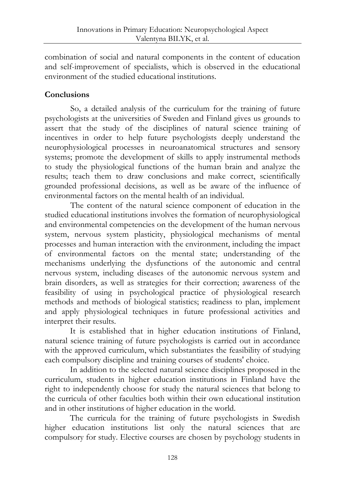combination of social and natural components in the content of education and self-improvement of specialists, which is observed in the educational environment of the studied educational institutions.

# **Conclusions**

So, a detailed analysis of the curriculum for the training of future psychologists at the universities of Sweden and Finland gives us grounds to assert that the study of the disciplines of natural science training of incentives in order to help future psychologists deeply understand the neurophysiological processes in neuroanatomical structures and sensory systems; promote the development of skills to apply instrumental methods to study the physiological functions of the human brain and analyze the results; teach them to draw conclusions and make correct, scientifically grounded professional decisions, as well as be aware of the influence of environmental factors on the mental health of an individual.

The content of the natural science component of education in the studied educational institutions involves the formation of neurophysiological and environmental competencies on the development of the human nervous system, nervous system plasticity, physiological mechanisms of mental processes and human interaction with the environment, including the impact of environmental factors on the mental state; understanding of the mechanisms underlying the dysfunctions of the autonomic and central nervous system, including diseases of the autonomic nervous system and brain disorders, as well as strategies for their correction; awareness of the feasibility of using in psychological practice of physiological research methods and methods of biological statistics; readiness to plan, implement and apply physiological techniques in future professional activities and interpret their results.

It is established that in higher education institutions of Finland, natural science training of future psychologists is carried out in accordance with the approved curriculum, which substantiates the feasibility of studying each compulsory discipline and training courses of students' choice.

In addition to the selected natural science disciplines proposed in the curriculum, students in higher education institutions in Finland have the right to independently choose for study the natural sciences that belong to the curricula of other faculties both within their own educational institution and in other institutions of higher education in the world.

The curricula for the training of future psychologists in Swedish higher education institutions list only the natural sciences that are compulsory for study. Elective courses are chosen by psychology students in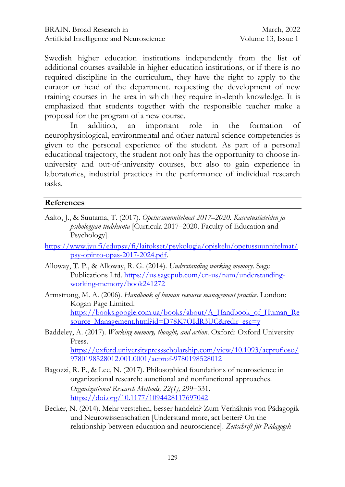Swedish higher education institutions independently from the list of additional courses available in higher education institutions, or if there is no required discipline in the curriculum, they have the right to apply to the curator or head of the department. requesting the development of new training courses in the area in which they require in-depth knowledge. It is emphasized that students together with the responsible teacher make a proposal for the program of a new course.

In addition, an important role in the formation of neurophysiological, environmental and other natural science competencies is given to the personal experience of the student. As part of a personal educational trajectory, the student not only has the opportunity to choose inuniversity and out-of-university courses, but also to gain experience in laboratories, industrial practices in the performance of individual research tasks.

# **References**

- Aalto, J., & Suutama, T. (2017). *Opetussuunnitelmat 2017–2020. Kasvatustieteiden ja psihologijan tiedikunta* [Curricula 2017–2020. Faculty of Education and Psychology].
- [https://www.jyu.fi/edupsy/fi/laitokset/psykologia/opiskelu/opetussuunnitelmat/](https://www.jyu.fi/edupsy/fi/laitokset/psykologia/opiskelu/opetussuunnitelmat/psy-opinto-opas-2017-2024.pdf) [psy-opinto-opas-2017-2024.pdf.](https://www.jyu.fi/edupsy/fi/laitokset/psykologia/opiskelu/opetussuunnitelmat/psy-opinto-opas-2017-2024.pdf)
- Alloway, T. P., & Alloway, R. G. (2014). *Understanding working memory*. Sage Publications Ltd. [https://us.sagepub.com/en-us/nam/understanding](https://us.sagepub.com/en-us/nam/understanding-working-memory/book241272)[working-memory/book241272](https://us.sagepub.com/en-us/nam/understanding-working-memory/book241272)
- Armstrong, М. A. (2006). *Handbook of human resource management practice*. London: Kogan Page Limited. [https://books.google.com.ua/books/about/A\\_Handbook\\_of\\_Human\\_Re](https://books.google.com.ua/books/about/A_Handbook_of_Human_Resource_Management.html?id=D78K7QIdR3UC&redir_esc=y) [source\\_Management.html?id=D78K7QIdR3UC&redir\\_esc=y](https://books.google.com.ua/books/about/A_Handbook_of_Human_Resource_Management.html?id=D78K7QIdR3UC&redir_esc=y)
- Baddeley, A. (2017). *Working memory, thought, and action*. Oxford: Oxford University Press. [https://oxford.universitypressscholarship.com/view/10.1093/acprof:oso/](https://oxford.universitypressscholarship.com/view/10.1093/acprof:oso/9780198528012.001.0001/acprof-9780198528012) [9780198528012.001.0001/acprof-9780198528012](https://oxford.universitypressscholarship.com/view/10.1093/acprof:oso/9780198528012.001.0001/acprof-9780198528012)
- Bagozzi, R. P., & Lee, N. (2017). Philosophical foundations of neuroscience in organizational research: аunctional and nonfunctional approaches. *Organizational Research Methods, 22(1), 299-331.* <https://doi.org/10.1177/1094428117697042>
- Becker, N. (2014). Mehr verstehen, besser handeln? Zum Verhältnis von Pädagogik und Neurowissenschaften [Understand more, act better? On the relationship between education and neuroscience]. *Zeitschrift für Pädagogik*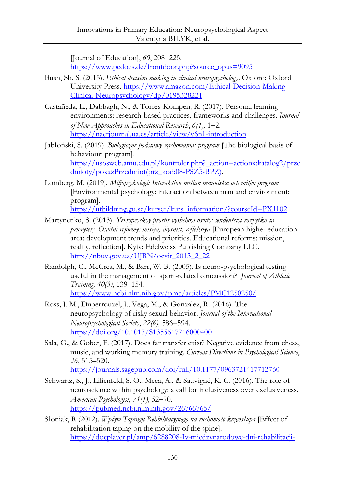[Journal of Education], 60, 208-225. [https://www.pedocs.de/frontdoor.php?source\\_opus=9095](https://www.pedocs.de/frontdoor.php?source_opus=9095)

- Bush, Sh. S. (2015). *Ethical decision making in clinical neuropsychology*. Oxford: Oxford University Press. [https://www.amazon.com/Ethical-Decision-Making-](https://www.amazon.com/Ethical-Decision-Making-Clinical-Neuropsychology/dp/0195328221)[Clinical-Neuropsychology/dp/0195328221](https://www.amazon.com/Ethical-Decision-Making-Clinical-Neuropsychology/dp/0195328221)
- Castañeda, L., Dabbagh, N., & Torres-Kompen, R. (2017). Personal learning environments: research-based practices, frameworks and challenges. *Journal of New Approaches in Educational Research, 6(1), 1–2.* <https://naerjournal.ua.es/article/view/v6n1-introduction>
- Jabłoński, S. (2019). *Biologiczne podstawy zachowania: рrogram* [The biological basis of behaviour: program]. [https://usosweb.amu.edu.pl/kontroler.php?\\_action=actionx:katalog2/prze](https://usosweb.amu.edu.pl/kontroler.php?_action=actionx:katalog2/przedmioty/pokazPrzedmiot(prz_kod:08-PSZ5-BPZ)) [dmioty/pokazPrzedmiot\(prz\\_kod:08-PSZ5-BPZ\).](https://usosweb.amu.edu.pl/kontroler.php?_action=actionx:katalog2/przedmioty/pokazPrzedmiot(prz_kod:08-PSZ5-BPZ))
- Lomberg, M. (2019). *Miljöpsykologi: Interaktion mellan människa och miljö: рrogram* [Environmental psychology: interaction between man and environment: рrogram].

[https://utbildning.gu.se/kurser/kurs\\_information/?courseId=PX1102](https://utbildning.gu.se/kurser/kurs_information/?courseId=PX1102)

- Martynenko, S. (2013). *Yevropeyskyy prostir vyshchoyi osvity: tendentsiyi rozvytku ta priorytety. Osvitni reformy: misiya, diysnist, refleksiya* [European higher education area: development trends and priorities. Educational reforms: mission, reality, reflection]. Kyiv: Edelweiss Publishing Company LLC. [http://nbuv.gov.ua/UJRN/ocvit\\_2013\\_2\\_22](http://nbuv.gov.ua/UJRN/ocvit_2013_2_22)
- Randolph, C., McCrea, M., & Barr, W. B. (2005). Is neuro-psychological testing useful in the management of sport-related concussion? *Journal of Athletic Training, 40(3)*, 139–154. <https://www.ncbi.nlm.nih.gov/pmc/articles/PMC1250250/>
- Ross, J. M., Duperrouzel, J., Vega, M., & Gonzalez, R. (2016). The neuropsychology of risky sexual behavior. *Journal of the International Neuropsychological Society*, 22(6), 586–594. <https://doi.org/10.1017/S1355617716000400>
- Sala, G., & Gobet, F. (2017). Does far transfer exist? Negative evidence from chess, music, and working memory training. *Current Directions in Psychological Science*, *26*, 515–520. <https://journals.sagepub.com/doi/full/10.1177/0963721417712760>
- Schwartz, S., J., Lilienfeld, S. O., Meca, A., & Sauvigné, K. C. (2016). The role of neuroscience within psychology: a call for inclusiveness over exclusiveness. *American Psychologist, 71(1)*, 52–70. <https://pubmed.ncbi.nlm.nih.gov/26766765/>
- Słoniak, R (2012). *Wpływ Tapingu Rehbilitacyjnego na ruchomość kręgosłupa* [Effect of rehabilitation taping on the mobility of the spine]. [https://docplayer.pl/amp/6288208-Iv-miedzynarodowe-dni-rehabilitacji-](https://docplayer.pl/amp/6288208-Iv-miedzynarodowe-dni-rehabilitacji-rzeszow-16-17-lutego-2012r-program-szczegolowy-16-lutego-czwartek.html)